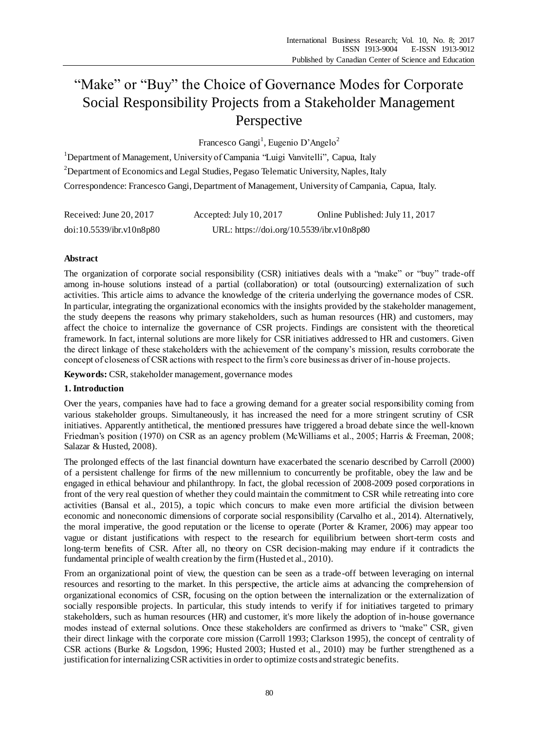# "Make" or "Buy" the Choice of Governance Modes for Corporate Social Responsibility Projects from a Stakeholder Management Perspective

Francesco Gangi<sup>1</sup>, Eugenio D'Angelo<sup>2</sup>

<sup>1</sup>Department of Management, University of Campania "Luigi Vanvitelli", Capua, Italy <sup>2</sup>Department of Economics and Legal Studies, Pegaso Telematic University, Naples, Italy Correspondence: Francesco Gangi, Department of Management, University of Campania, Capua, Italy.

| Received: June 20, 2017  | Accepted: July 10, 2017                   | Online Published: July 11, 2017 |  |  |
|--------------------------|-------------------------------------------|---------------------------------|--|--|
| doi:10.5539/ibr.v10n8p80 | URL: https://doi.org/10.5539/ibr.v10n8p80 |                                 |  |  |

# **Abstract**

The organization of corporate social responsibility (CSR) initiatives deals with a "make" or "buy" trade-off among in-house solutions instead of a partial (collaboration) or total (outsourcing) externalization of such activities. This article aims to advance the knowledge of the criteria underlying the governance modes of CSR. In particular, integrating the organizational economics with the insights provided by the stakeholder management, the study deepens the reasons why primary stakeholders, such as human resources (HR) and customers, may affect the choice to internalize the governance of CSR projects. Findings are consistent with the theoretical framework. In fact, internal solutions are more likely for CSR initiatives addressed to HR and customers. Given the direct linkage of these stakeholders with the achievement of the company's mission, results corroborate the concept of closeness of CSR actions with respect to the firm's core business as driver of in-house projects.

**Keywords:** CSR, stakeholder management, governance modes

## **1. Introduction**

Over the years, companies have had to face a growing demand for a greater social responsibility coming from various stakeholder groups. Simultaneously, it has increased the need for a more stringent scrutiny of CSR initiatives. Apparently antithetical, the mentioned pressures have triggered a broad debate since the well-known Friedman's position (1970) on CSR as an agency problem (McWilliams et al., 2005; Harris & Freeman, 2008; Salazar & Husted, 2008).

The prolonged effects of the last financial downturn have exacerbated the scenario described by Carroll (2000) of a persistent challenge for firms of the new millennium to concurrently be profitable, obey the law and be engaged in ethical behaviour and philanthropy. In fact, the global recession of 2008-2009 posed corporations in front of the very real question of whether they could maintain the commitment to CSR while retreating into core activities (Bansal et al., 2015), a topic which concurs to make even more artificial the division between economic and noneconomic dimensions of corporate social responsibility (Carvalho et al., 2014). Alternatively, the moral imperative, the good reputation or the license to operate (Porter & Kramer, 2006) may appear too vague or distant justifications with respect to the research for equilibrium between short-term costs and long-term benefits of CSR. After all, no theory on CSR decision-making may endure if it contradicts the fundamental principle of wealth creation by the firm (Husted et al., 2010).

From an organizational point of view, the question can be seen as a trade-off between leveraging on internal resources and resorting to the market. In this perspective, the article aims at advancing the comprehension of organizational economics of CSR, focusing on the option between the internalization or the externalization of socially responsible projects. In particular, this study intends to verify if for initiatives targeted to primary stakeholders, such as human resources (HR) and customer, it's more likely the adoption of in-house governance modes instead of external solutions. Once these stakeholders are confirmed as drivers to "make" CSR, given their direct linkage with the corporate core mission (Carroll 1993; Clarkson 1995), the concept of centrality of CSR actions (Burke & Logsdon, 1996; Husted 2003; Husted et al., 2010) may be further strengthened as a justification for internalizing CSR activities in order to optimize costs and strategic benefits.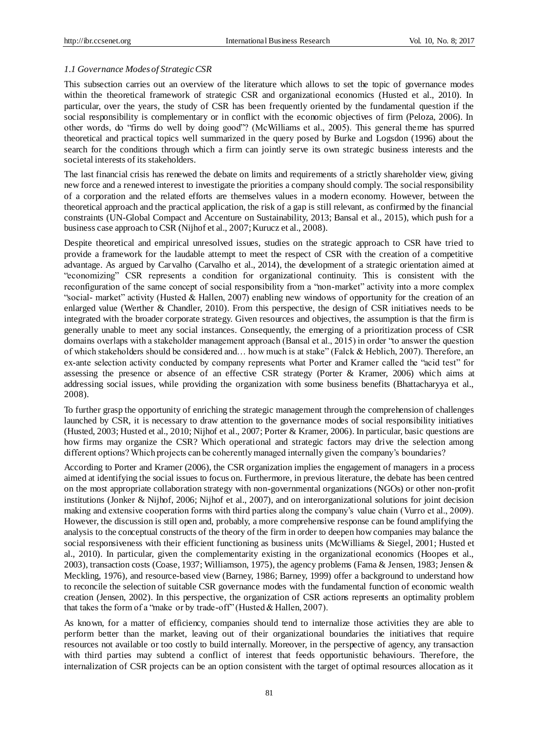#### *1.1 Governance Modes of Strategic CSR*

This subsection carries out an overview of the literature which allows to set the topic of governance modes within the theoretical framework of strategic CSR and organizational economics (Husted et al., 2010). In particular, over the years, the study of CSR has been frequently oriented by the fundamental question if the social responsibility is complementary or in conflict with the economic objectives of firm (Peloza, 2006). In other words, do "firms do well by doing good"? (McWilliams et al., 2005). This general theme has spurred theoretical and practical topics well summarized in the query posed by Burke and Logsdon (1996) about the search for the conditions through which a firm can jointly serve its own strategic business interests and the societal interests of its stakeholders.

The last financial crisis has renewed the debate on limits and requirements of a strictly shareholder view, giving new force and a renewed interest to investigate the priorities a company should comply. The social responsibility of a corporation and the related efforts are themselves values in a modern economy. However, between the theoretical approach and the practical application, the risk of a gap is still relevant, as confirmed by the financial constraints (UN-Global Compact and Accenture on Sustainability, 2013; Bansal et al., 2015), which push for a business case approach to CSR (Nijhof et al., 2007; Kurucz et al., 2008).

Despite theoretical and empirical unresolved issues, studies on the strategic approach to CSR have tried to provide a framework for the laudable attempt to meet the respect of CSR with the creation of a competitive advantage. As argued by Carvalho (Carvalho et al., 2014), the development of a strategic orientation aimed at "economizing" CSR represents a condition for organizational continuity. This is consistent with the reconfiguration of the same concept of social responsibility from a "non-market" activity into a more complex "social- market" activity (Husted & Hallen, 2007) enabling new windows of opportunity for the creation of an enlarged value (Werther & Chandler, 2010). From this perspective, the design of CSR initiatives needs to be integrated with the broader corporate strategy. Given resources and objectives, the assumption is that the firm is generally unable to meet any social instances. Consequently, the emerging of a prioritization process of CSR domains overlaps with a stakeholder management approach (Bansal et al., 2015) in order "to answer the question of which stakeholders should be considered and… how much is at stake" (Falck & Heblich, 2007). Therefore, an ex-ante selection activity conducted by company represents what Porter and Kramer called the "acid test" for assessing the presence or absence of an effective CSR strategy (Porter & Kramer, 2006) which aims at addressing social issues, while providing the organization with some business benefits (Bhattacharyya et al., 2008).

To further grasp the opportunity of enriching the strategic management through the comprehension of challenges launched by CSR, it is necessary to draw attention to the governance modes of social responsibility initiatives (Husted, 2003; Husted et al., 2010; Nijhof et al., 2007; Porter & Kramer, 2006). In particular, basic questions are how firms may organize the CSR? Which operational and strategic factors may drive the selection among different options? Which projects can be coherently managed internally given the company's boundaries?

According to Porter and Kramer (2006), the CSR organization implies the engagement of managers in a process aimed at identifying the social issues to focus on. Furthermore, in previous literature, the debate has been centred on the most appropriate collaboration strategy with non-governmental organizations (NGOs) or other non-profit institutions (Jonker & Nijhof, 2006; Nijhof et al., 2007), and on interorganizational solutions for joint decision making and extensive cooperation forms with third parties along the company's value chain (Vurro et al., 2009). However, the discussion is still open and, probably, a more comprehensive response can be found amplifying the analysis to the conceptual constructs of the theory of the firm in order to deepen how companies may balance the social responsiveness with their efficient functioning as business units (McWilliams & Siegel, 2001; Husted et al., 2010). In particular, given the complementarity existing in the organizational economics (Hoopes et al., 2003), transaction costs (Coase, 1937; Williamson, 1975), the agency problems (Fama & Jensen, 1983; Jensen & Meckling, 1976), and resource-based view (Barney, 1986; Barney, 1999) offer a background to understand how to reconcile the selection of suitable CSR governance modes with the fundamental function of economic wealth creation (Jensen, 2002). In this perspective, the organization of CSR actions represents an optimality problem that takes the form of a "make or by trade-off" (Husted  $&$  Hallen, 2007).

As known, for a matter of efficiency, companies should tend to internalize those activities they are able to perform better than the market, leaving out of their organizational boundaries the initiatives that require resources not available or too costly to build internally. Moreover, in the perspective of agency, any transaction with third parties may subtend a conflict of interest that feeds opportunistic behaviours. Therefore, the internalization of CSR projects can be an option consistent with the target of optimal resources allocation as it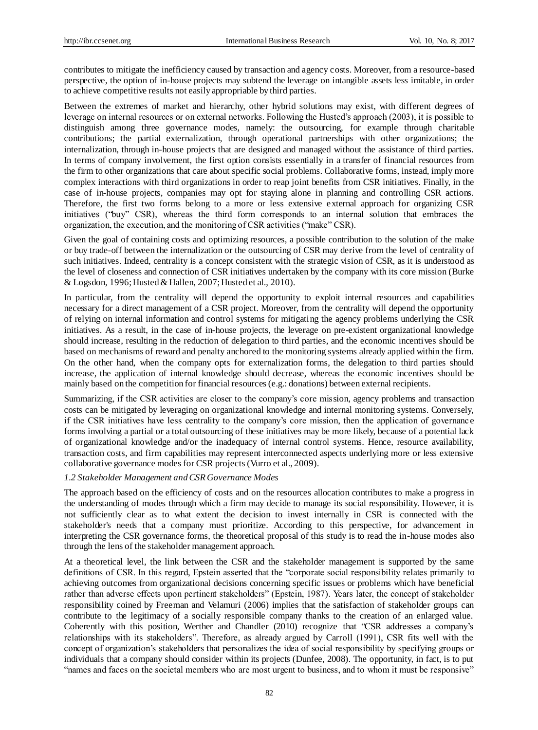contributes to mitigate the inefficiency caused by transaction and agency costs. Moreover, from a resource-based perspective, the option of in-house projects may subtend the leverage on intangible assets less imitable, in order to achieve competitive results not easily appropriable by third parties.

Between the extremes of market and hierarchy, other hybrid solutions may exist, with different degrees of leverage on internal resources or on external networks. Following the Husted's approach (2003), it is possible to distinguish among three governance modes, namely: the outsourcing, for example through charitable contributions; the partial externalization, through operational partnerships with other organizations; the internalization, through in-house projects that are designed and managed without the assistance of third parties. In terms of company involvement, the first option consists essentially in a transfer of financial resources from the firm to other organizations that care about specific social problems. Collaborative forms, instead, imply more complex interactions with third organizations in order to reap joint benefits from CSR initiatives. Finally, in the case of in-house projects, companies may opt for staying alone in planning and controlling CSR actions. Therefore, the first two forms belong to a more or less extensive external approach for organizing CSR initiatives ("buy" CSR), whereas the third form corresponds to an internal solution that embraces the organization, the execution, and the monitoring of CSR activities ("make" CSR).

Given the goal of containing costs and optimizing resources, a possible contribution to the solution of the make or buy trade-off between the internalization or the outsourcing of CSR may derive from the level of centrality of such initiatives. Indeed, centrality is a concept consistent with the strategic vision of CSR, as it is understood as the level of closeness and connection of CSR initiatives undertaken by the company with its core mission (Burke & Logsdon, 1996; Husted & Hallen, 2007; Husted et al., 2010).

In particular, from the centrality will depend the opportunity to exploit internal resources and capabilities necessary for a direct management of a CSR project. Moreover, from the centrality will depend the opportunity of relying on internal information and control systems for mitigating the agency problems underlying the CSR initiatives. As a result, in the case of in-house projects, the leverage on pre-existent organizational knowledge should increase, resulting in the reduction of delegation to third parties, and the economic incentives should be based on mechanisms of reward and penalty anchored to the monitoring systems already applied within the firm. On the other hand, when the company opts for externalization forms, the delegation to third parties should increase, the application of internal knowledge should decrease, whereas the economic incentives should be mainly based on the competition for financial resources (e.g.: donations) between external recipients.

Summarizing, if the CSR activities are closer to the company's core mission, agency problems and transaction costs can be mitigated by leveraging on organizational knowledge and internal monitoring systems. Conversely, if the CSR initiatives have less centrality to the company's core mission, then the application of governanc e forms involving a partial or a total outsourcing of these initiatives may be more likely, because of a potential lack of organizational knowledge and/or the inadequacy of internal control systems. Hence, resource availability, transaction costs, and firm capabilities may represent interconnected aspects underlying more or less extensive collaborative governance modes for CSR projects (Vurro et al., 2009).

## *1.2 Stakeholder Management and CSR Governance Modes*

The approach based on the efficiency of costs and on the resources allocation contributes to make a progress in the understanding of modes through which a firm may decide to manage its social responsibility. However, it is not sufficiently clear as to what extent the decision to invest internally in CSR is connected with the stakeholder's needs that a company must prioritize. According to this perspective, for advancement in interpreting the CSR governance forms, the theoretical proposal of this study is to read the in-house modes also through the lens of the stakeholder management approach.

At a theoretical level, the link between the CSR and the stakeholder management is supported by the same definitions of CSR. In this regard, Epstein asserted that the "corporate social responsibility relates primarily to achieving outcomes from organizational decisions concerning specific issues or problems which have beneficial rather than adverse effects upon pertinent stakeholders" (Epstein, 1987). Years later, the concept of stakeholder responsibility coined by Freeman and Velamuri (2006) implies that the satisfaction of stakeholder groups can contribute to the legitimacy of a socially responsible company thanks to the creation of an enlarged value. Coherently with this position, Werther and Chandler (2010) recognize that "CSR addresses a company's relationships with its stakeholders". Therefore, as already argued by Carroll (1991), CSR fits well with the concept of organization's stakeholders that personalizes the idea of social responsibility by specifying groups or individuals that a company should consider within its projects (Dunfee, 2008). The opportunity, in fact, is to put "names and faces on the societal members who are most urgent to business, and to whom it must be responsive"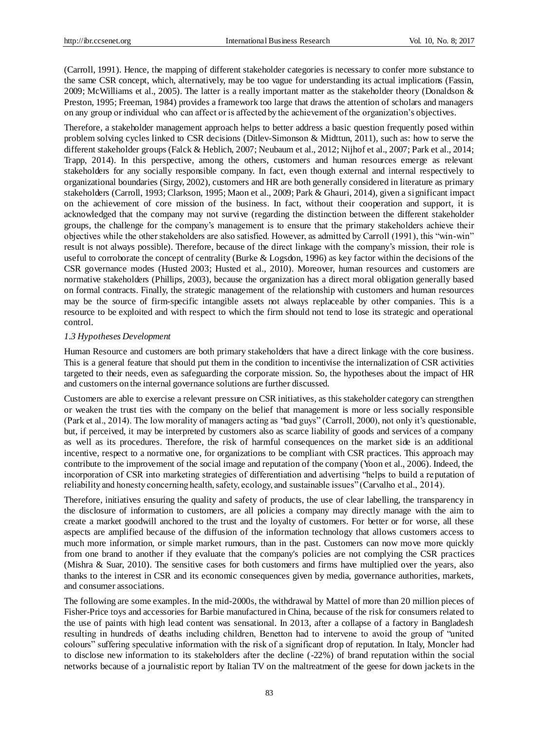(Carroll, 1991). Hence, the mapping of different stakeholder categories is necessary to confer more substance to the same CSR concept, which, alternatively, may be too vague for understanding its actual implications (Fassin, 2009; McWilliams et al., 2005). The latter is a really important matter as the stakeholder theory (Donaldson & Preston, 1995; Freeman, 1984) provides a framework too large that draws the attention of scholars and managers on any group or individual who can affect or is affected by the achievement of the organization's objectives.

Therefore, a stakeholder management approach helps to better address a basic question frequently posed within problem solving cycles linked to CSR decisions (Ditlev-Simonson & Midttun, 2011), such as: how to serve the different stakeholder groups (Falck & Heblich, 2007; Neubaum et al., 2012; Nijhof et al., 2007; Park et al., 2014; Trapp, 2014). In this perspective, among the others, customers and human resources emerge as relevant stakeholders for any socially responsible company. In fact, even though external and internal respectively to organizational boundaries (Sirgy, 2002), customers and HR are both generally considered in literature as primary stakeholders (Carroll, 1993; Clarkson, 1995; Maon et al., 2009; Park & Ghauri, 2014), given a significant impact on the achievement of core mission of the business. In fact, without their cooperation and support, it is acknowledged that the company may not survive (regarding the distinction between the different stakeholder groups, the challenge for the company's management is to ensure that the primary stakeholders achieve their objectives while the other stakeholders are also satisfied. However, as admitted by Carroll (1991), this "win-win" result is not always possible). Therefore, because of the direct linkage with the company's mission, their role is useful to corroborate the concept of centrality (Burke & Logsdon, 1996) as key factor within the decisions of the CSR governance modes (Husted 2003; Husted et al., 2010). Moreover, human resources and customers are normative stakeholders (Phillips, 2003), because the organization has a direct moral obligation generally based on formal contracts. Finally, the strategic management of the relationship with customers and human resources may be the source of firm-specific intangible assets not always replaceable by other companies. This is a resource to be exploited and with respect to which the firm should not tend to lose its strategic and operational control.

#### *1.3 Hypotheses Development*

Human Resource and customers are both primary stakeholders that have a direct linkage with the core business. This is a general feature that should put them in the condition to incentivise the internalization of CSR activities targeted to their needs, even as safeguarding the corporate mission. So, the hypotheses about the impact of HR and customers on the internal governance solutions are further discussed.

Customers are able to exercise a relevant pressure on CSR initiatives, as this stakeholder category can strengthen or weaken the trust ties with the company on the belief that management is more or less socially responsible (Park et al., 2014). The low morality of managers acting as "bad guys" (Carroll, 2000), not only it's questionable, but, if perceived, it may be interpreted by customers also as scarce liability of goods and services of a company as well as its procedures. Therefore, the risk of harmful consequences on the market side is an additional incentive, respect to a normative one, for organizations to be compliant with CSR practices. This approach may contribute to the improvement of the social image and reputation of the company (Yoon et al., 2006). Indeed, the incorporation of CSR into marketing strategies of differentiation and advertising "helps to build a reputation of reliability and honesty concerning health, safety, ecology, and sustainable issues" (Carvalho et al., 2014).

Therefore, initiatives ensuring the quality and safety of products, the use of clear labelling, the transparency in the disclosure of information to customers, are all policies a company may directly manage with the aim to create a market goodwill anchored to the trust and the loyalty of customers. For better or for worse, all these aspects are amplified because of the diffusion of the information technology that allows customers access to much more information, or simple market rumours, than in the past. Customers can now move more quickly from one brand to another if they evaluate that the company's policies are not complying the CSR practices (Mishra & Suar, 2010). The sensitive cases for both customers and firms have multiplied over the years, also thanks to the interest in CSR and its economic consequences given by media, governance authorities, markets, and consumer associations.

The following are some examples. In the mid-2000s, the withdrawal by Mattel of more than 20 million pieces of Fisher-Price toys and accessories for Barbie manufactured in China, because of the risk for consumers related to the use of paints with high lead content was sensational. In 2013, after a collapse of a factory in Bangladesh resulting in hundreds of deaths including children, Benetton had to intervene to avoid the group of "united colours" suffering speculative information with the risk of a significant drop of reputation. In Italy, Moncler had to disclose new information to its stakeholders after the decline (-22%) of brand reputation within the social networks because of a journalistic report by Italian TV on the maltreatment of the geese for down jacke ts in the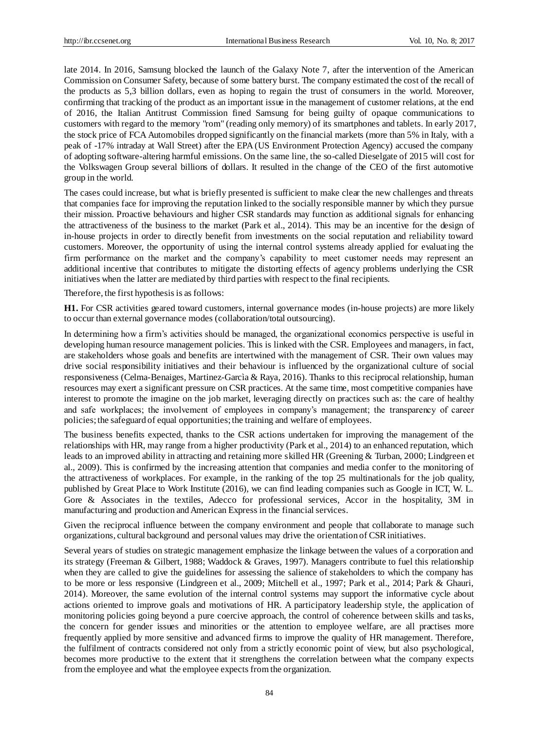late 2014. In 2016, Samsung blocked the launch of the Galaxy Note 7, after the intervention of the American Commission on Consumer Safety, because of some battery burst. The company estimated the cost of the recall of the products as 5,3 billion dollars, even as hoping to regain the trust of consumers in the world. Moreover, confirming that tracking of the product as an important issue in the management of customer relations, at the end of 2016, the Italian Antitrust Commission fined Samsung for being guilty of opaque communications to customers with regard to the memory "rom" (reading only memory) of its smartphones and tablets. In early 2017, the stock price of FCA Automobiles dropped significantly on the financial markets (more than 5% in Italy, with a peak of -17% intraday at Wall Street) after the EPA (US Environment Protection Agency) accused the company of adopting software-altering harmful emissions. On the same line, the so-called Dieselgate of 2015 will cost for the Volkswagen Group several billions of dollars. It resulted in the change of the CEO of the first automotive group in the world.

The cases could increase, but what is briefly presented is sufficient to make clear the new challenges and threats that companies face for improving the reputation linked to the socially responsible manner by which they pursue their mission. Proactive behaviours and higher CSR standards may function as additional signals for enhancing the attractiveness of the business to the market (Park et al., 2014). This may be an incentive for the design of in-house projects in order to directly benefit from investments on the social reputation and reliability toward customers. Moreover, the opportunity of using the internal control systems already applied for evaluating the firm performance on the market and the company's capability to meet customer needs may represent an additional incentive that contributes to mitigate the distorting effects of agency problems underlying the CSR initiatives when the latter are mediated by third parties with respect to the final recipients.

Therefore, the first hypothesis is as follows:

**H1.** For CSR activities geared toward customers, internal governance modes (in-house projects) are more likely to occur than external governance modes (collaboration/total outsourcing).

In determining how a firm's activities should be managed, the organizational economics perspective is useful in developing human resource management policies. This is linked with the CSR. Employees and managers, in fact, are stakeholders whose goals and benefits are intertwined with the management of CSR. Their own values may drive social responsibility initiatives and their behaviour is influenced by the organizational culture of social responsiveness (Celma-Benaiges, Martinez-Garc à & Raya, 2016). Thanks to this reciprocal relationship, human resources may exert a significant pressure on CSR practices. At the same time, most competitive companies have interest to promote the imagine on the job market, leveraging directly on practices such as: the care of healthy and safe workplaces; the involvement of employees in company's management; the transparency of career policies; the safeguard of equal opportunities; the training and welfare of employees.

The business benefits expected, thanks to the CSR actions undertaken for improving the management of the relationships with HR, may range from a higher productivity (Park et al., 2014) to an enhanced reputation, which leads to an improved ability in attracting and retaining more skilled HR (Greening & Turban, 2000; Lindgreen et al., 2009). This is confirmed by the increasing attention that companies and media confer to the monitoring of the attractiveness of workplaces. For example, in the ranking of the top 25 multinationals for the job quality, published by Great Place to Work Institute (2016), we can find leading companies such as Google in ICT, W. L. Gore & Associates in the textiles, Adecco for professional services, Accor in the hospitality, 3M in manufacturing and production and American Express in the financial services.

Given the reciprocal influence between the company environment and people that collaborate to manage such organizations, cultural background and personal values may drive the orientation of CSR initiatives.

Several years of studies on strategic management emphasize the linkage between the values of a corporation and its strategy (Freeman & Gilbert, 1988; Waddock & Graves, 1997). Managers contribute to fuel this relationship when they are called to give the guidelines for assessing the salience of stakeholders to which the company has to be more or less responsive (Lindgreen et al., 2009; Mitchell et al., 1997; Park et al., 2014; Park & Ghauri, 2014). Moreover, the same evolution of the internal control systems may support the informative cycle about actions oriented to improve goals and motivations of HR. A participatory leadership style, the application of monitoring policies going beyond a pure coercive approach, the control of coherence between skills and tasks, the concern for gender issues and minorities or the attention to employee welfare, are all practises more frequently applied by more sensitive and advanced firms to improve the quality of HR management. Therefore, the fulfilment of contracts considered not only from a strictly economic point of view, but also psychological, becomes more productive to the extent that it strengthens the correlation between what the company expects from the employee and what the employee expects from the organization.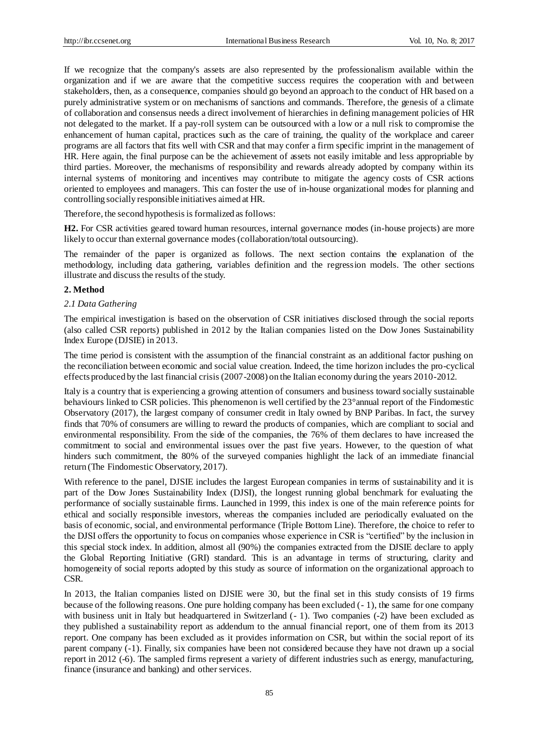If we recognize that the company's assets are also represented by the professionalism available within the organization and if we are aware that the competitive success requires the cooperation with and between stakeholders, then, as a consequence, companies should go beyond an approach to the conduct of HR based on a purely administrative system or on mechanisms of sanctions and commands. Therefore, the genesis of a climate of collaboration and consensus needs a direct involvement of hierarchies in defining management policies of HR not delegated to the market. If a pay-roll system can be outsourced with a low or a null risk to compromise the enhancement of human capital, practices such as the care of training, the quality of the workplace and career programs are all factors that fits well with CSR and that may confer a firm specific imprint in the management of HR. Here again, the final purpose can be the achievement of assets not easily imitable and less appropriable by third parties. Moreover, the mechanisms of responsibility and rewards already adopted by company within its internal systems of monitoring and incentives may contribute to mitigate the agency costs of CSR actions oriented to employees and managers. This can foster the use of in-house organizational modes for planning and controlling socially responsible initiatives aimed at HR.

Therefore, the second hypothesis is formalized as follows:

**H2.** For CSR activities geared toward human resources, internal governance modes (in-house projects) are more likely to occur than external governance modes (collaboration/total outsourcing).

The remainder of the paper is organized as follows. The next section contains the explanation of the methodology, including data gathering, variables definition and the regression models. The other sections illustrate and discuss the results of the study.

#### **2. Method**

#### *2.1 Data Gathering*

The empirical investigation is based on the observation of CSR initiatives disclosed through the social reports (also called CSR reports) published in 2012 by the Italian companies listed on the Dow Jones Sustainability Index Europe (DJSIE) in 2013.

The time period is consistent with the assumption of the financial constraint as an additional factor pushing on the reconciliation between economic and social value creation. Indeed, the time horizon includes the pro-cyclical effects produced by the last financial crisis (2007-2008) on the Italian economy during the years 2010-2012.

Italy is a country that is experiencing a growing attention of consumers and business toward socially sustainable behaviours linked to CSR policies. This phenomenon is well certified by the 23°annual report of the Findomestic Observatory (2017), the largest company of consumer credit in Italy owned by BNP Paribas. In fact, the survey finds that 70% of consumers are willing to reward the products of companies, which are compliant to social and environmental responsibility. From the side of the companies, the 76% of them declares to have increased the commitment to social and environmental issues over the past five years. However, to the question of what hinders such commitment, the 80% of the surveyed companies highlight the lack of an immediate financial return (The Findomestic Observatory, 2017).

With reference to the panel, DJSIE includes the largest European companies in terms of sustainability and it is part of the Dow Jones Sustainability Index (DJSI), the longest running global benchmark for evaluating the performance of socially sustainable firms. Launched in 1999, this index is one of the main reference points for ethical and socially responsible investors, whereas the companies included are periodically evaluated on the basis of economic, social, and environmental performance (Triple Bottom Line). Therefore, the choice to refer to the DJSI offers the opportunity to focus on companies whose experience in CSR is "certified" by the inclusion in this special stock index. In addition, almost all (90%) the companies extracted from the DJSIE declare to apply the Global Reporting Initiative (GRI) standard. This is an advantage in terms of structuring, clarity and homogeneity of social reports adopted by this study as source of information on the organizational approach to CSR.

In 2013, the Italian companies listed on DJSIE were 30, but the final set in this study consists of 19 firms because of the following reasons. One pure holding company has been excluded (- 1), the same for one company with business unit in Italy but headquartered in Switzerland (-1). Two companies (-2) have been excluded as they published a sustainability report as addendum to the annual financial report, one of them from its 2013 report. One company has been excluded as it provides information on CSR, but within the social report of its parent company (-1). Finally, six companies have been not considered because they have not drawn up a social report in 2012 (-6). The sampled firms represent a variety of different industries such as energy, manufacturing, finance (insurance and banking) and other services.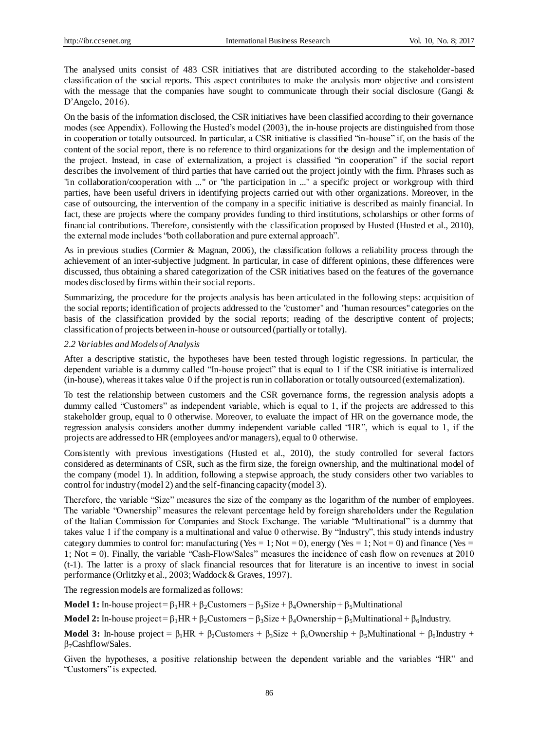The analysed units consist of 483 CSR initiatives that are distributed according to the stakeholder-based classification of the social reports. This aspect contributes to make the analysis more objective and consistent with the message that the companies have sought to communicate through their social disclosure (Gangi  $\&$ D'Angelo, 2016).

On the basis of the information disclosed, the CSR initiatives have been classified according to their governance modes (see Appendix). Following the Husted's model (2003), the in-house projects are distinguished from those in cooperation or totally outsourced. In particular, a CSR initiative is classified "in-house" if, on the basis of the content of the social report, there is no reference to third organizations for the design and the implementation of the project. Instead, in case of externalization, a project is classified "in cooperation" if the social report describes the involvement of third parties that have carried out the project jointly with the firm. Phrases such as "in collaboration/cooperation with ..." or "the participation in ..." a specific project or workgroup with third parties, have been useful drivers in identifying projects carried out with other organizations. Moreover, in the case of outsourcing, the intervention of the company in a specific initiative is described as mainly financial. In fact, these are projects where the company provides funding to third institutions, scholarships or other forms of financial contributions. Therefore, consistently with the classification proposed by Husted (Husted et al., 2010), the external mode includes "both collaboration and pure external approach".

As in previous studies (Cormier & Magnan, 2006), the classification follows a reliability process through the achievement of an inter-subjective judgment. In particular, in case of different opinions, these differences were discussed, thus obtaining a shared categorization of the CSR initiatives based on the features of the governance modes disclosed by firms within their social reports.

Summarizing, the procedure for the projects analysis has been articulated in the following steps: acquisition of the social reports; identification of projects addressed to the "customer" and "human resources" categories on the basis of the classification provided by the social reports; reading of the descriptive content of projects; classification of projects between in-house or outsourced (partially or totally).

#### *2.2 Variables and Models of Analysis*

After a descriptive statistic, the hypotheses have been tested through logistic regressions. In particular, the dependent variable is a dummy called "In-house project" that is equal to 1 if the CSR initiative is internalized (in-house), whereas it takes value 0 if the project is run in collaboration or totally outsourced (externalization).

To test the relationship between customers and the CSR governance forms, the regression analysis adopts a dummy called "Customers" as independent variable, which is equal to 1, if the projects are addressed to this stakeholder group, equal to 0 otherwise. Moreover, to evaluate the impact of HR on the governance mode, the regression analysis considers another dummy independent variable called "HR", which is equal to 1, if the projects are addressed to HR (employees and/or managers), equal to 0 otherwise.

Consistently with previous investigations (Husted et al., 2010), the study controlled for several factors considered as determinants of CSR, such as the firm size, the foreign ownership, and the multinational model of the company (model 1). In addition, following a stepwise approach, the study considers other two variables to control for industry (model 2) and the self-financing capacity (model 3).

Therefore, the variable "Size" measures the size of the company as the logarithm of the number of employees. The variable "Ownership" measures the relevant percentage held by foreign shareholders under the Regulation of the Italian Commission for Companies and Stock Exchange. The variable "Multinational" is a dummy that takes value 1 if the company is a multinational and value 0 otherwise. By "Industry", this study intends industry category dummies to control for: manufacturing (Yes = 1; Not = 0), energy (Yes = 1; Not = 0) and finance (Yes = 1; Not = 0). Finally, the variable "Cash-Flow/Sales" measures the incidence of cash flow on revenues at 2010 (t-1). The latter is a proxy of slack financial resources that for literature is an incentive to invest in social performance (Orlitzky et al., 2003; Waddock & Graves, 1997).

The regression models are formalized as follows:

**Model 1:** In-house project =  $\beta_1$ HR +  $\beta_2$ Customers +  $\beta_3$ Size +  $\beta_4$ Ownership +  $\beta_5$ Multinational

**Model 2:** In-house project =  $\beta_1$ HR +  $\beta_2$ Customers +  $\beta_3$ Size +  $\beta_4$ Ownership +  $\beta_5$ Multinational +  $\beta_6$ Industry.

**Model 3:** In-house project =  $\beta_1 HR + \beta_2$ Customers +  $\beta_3 Size + \beta_4$ Ownership +  $\beta_5$ Multinational +  $\beta_6$ Industry + β7Cashflow/Sales.

Given the hypotheses, a positive relationship between the dependent variable and the variables "HR" and "Customers" is expected.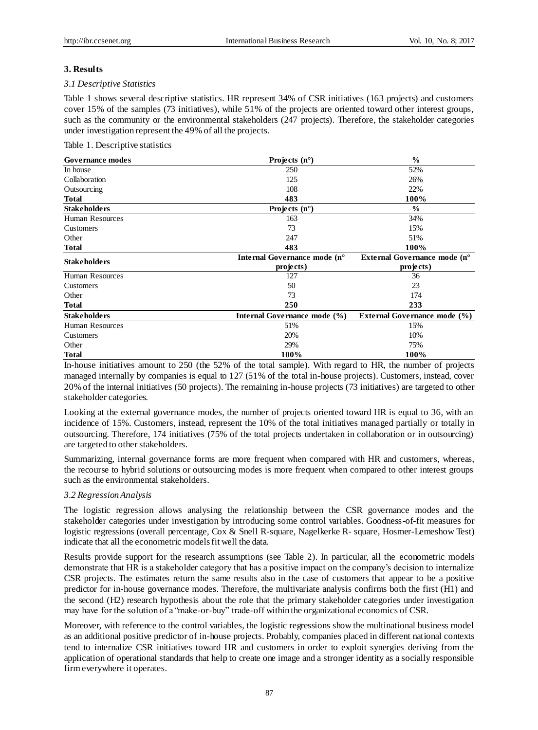## **3. Results**

#### *3.1 Descriptive Statistics*

Table 1 shows several descriptive statistics. HR represent 34% of CSR initiatives (163 projects) and customers cover 15% of the samples (73 initiatives), while 51% of the projects are oriented toward other interest groups, such as the community or the environmental stakeholders (247 projects). Therefore, the stakeholder categories under investigation represent the 49% of all the projects.

| Governance modes       | Projects $(no)$                          | $\frac{0}{0}$                |  |  |
|------------------------|------------------------------------------|------------------------------|--|--|
| In house               | 250                                      | 52%                          |  |  |
| Collaboration          | 125                                      | 26%                          |  |  |
| Outsourcing            | 108                                      | 22%                          |  |  |
| Total                  | 483                                      | 100%                         |  |  |
| <b>Stakeholders</b>    | Projects $(no)$                          | $\frac{0}{0}$                |  |  |
| Human Resources        | 163                                      | 34%                          |  |  |
| Customers              | 73                                       | 15%                          |  |  |
| Other                  | 247                                      | 51%                          |  |  |
| <b>Total</b>           | 483                                      | 100%                         |  |  |
| <b>Stakeholders</b>    | Internal Governance mode (n <sup>o</sup> | External Governance mode (n° |  |  |
|                        | projects)                                | projects)                    |  |  |
| <b>Human Resources</b> | 127                                      | 36                           |  |  |
| Customers              | 50                                       | 23                           |  |  |
| Other                  | 73                                       | 174                          |  |  |
| <b>Total</b>           | 250                                      | 233                          |  |  |
| <b>Stakeholders</b>    | Internal Governance mode (%)             | External Governance mode (%) |  |  |
| <b>Human Resources</b> | 51%                                      | 15%                          |  |  |
| Customers              | 20%                                      | 10%                          |  |  |
| Other                  | 29%                                      | 75%                          |  |  |
| <b>Total</b>           | 100%                                     | 100%                         |  |  |

In-house initiatives amount to 250 (the 52% of the total sample). With regard to HR, the number of projects managed internally by companies is equal to 127 (51% of the total in-house projects). Customers, instead, cover 20% of the internal initiatives (50 projects). The remaining in-house projects (73 initiatives) are targeted to other stakeholder categories.

Looking at the external governance modes, the number of projects oriented toward HR is equal to 36, with an incidence of 15%. Customers, instead, represent the 10% of the total initiatives managed partially or totally in outsourcing. Therefore, 174 initiatives (75% of the total projects undertaken in collaboration or in outsourcing) are targeted to other stakeholders.

Summarizing, internal governance forms are more frequent when compared with HR and customers, whereas, the recourse to hybrid solutions or outsourcing modes is more frequent when compared to other interest groups such as the environmental stakeholders.

## *3.2 Regression Analysis*

The logistic regression allows analysing the relationship between the CSR governance modes and the stakeholder categories under investigation by introducing some control variables. Goodness-of-fit measures for logistic regressions (overall percentage, Cox & Snell R-square, Nagelkerke R- square, Hosmer-Lemeshow Test) indicate that all the econometric models fit well the data.

Results provide support for the research assumptions (see Table 2). In particular, all the econometric models demonstrate that HR is a stakeholder category that has a positive impact on the company's decision to internalize CSR projects. The estimates return the same results also in the case of customers that appear to be a positive predictor for in-house governance modes. Therefore, the multivariate analysis confirms both the first (H1) and the second (H2) research hypothesis about the role that the primary stakeholder categories under investigation may have for the solution of a "make-or-buy" trade-off within the organizational economics of CSR.

Moreover, with reference to the control variables, the logistic regressions show the multinational business model as an additional positive predictor of in-house projects. Probably, companies placed in different national contexts tend to internalize CSR initiatives toward HR and customers in order to exploit synergies deriving from the application of operational standards that help to create one image and a stronger identity as a socially responsible firm everywhere it operates.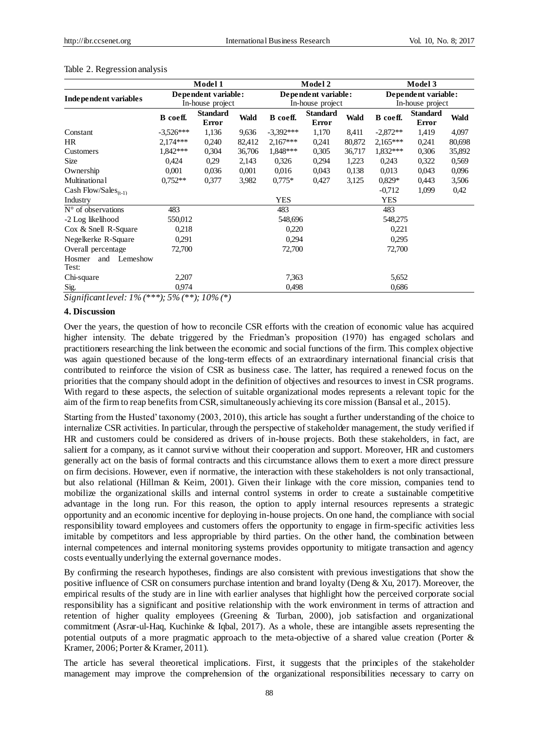|                                 |                                         | Model 1                         | Model 2            |                                         |                          |        | Model 3                                 |                          |             |  |
|---------------------------------|-----------------------------------------|---------------------------------|--------------------|-----------------------------------------|--------------------------|--------|-----------------------------------------|--------------------------|-------------|--|
| Independent variables           | Dependent variable:<br>In-house project |                                 |                    | Dependent variable:<br>In-house project |                          |        | Dependent variable:<br>In-house project |                          |             |  |
|                                 | B coeff.                                | <b>Standard</b><br><b>Error</b> | Wald               | B coeff.                                | <b>Standard</b><br>Error | Wald   | B coeff.                                | <b>Standard</b><br>Error | <b>Wald</b> |  |
| Constant                        | $-3,526***$                             | 1,136                           | 9,636              | $-3.392***$                             | 1,170                    | 8,411  | $-2,872**$                              | 1,419                    | 4,097       |  |
| HR                              | $2.174***$                              | 0,240                           | 82,412             | $2,167***$                              | 0.241                    | 80,872 | $2,165***$                              | 0.241                    | 80,698      |  |
| Customers                       | 1,842***                                | 0,304                           | 36,706             | 1,848***                                | 0,305                    | 36,717 | 1,832***                                | 0,306                    | 35,892      |  |
| Size                            | 0,424                                   | 0,29                            | 2,143              | 0,326                                   | 0,294                    | 1,223  | 0,243                                   | 0,322                    | 0.569       |  |
| Ownership                       | 0,001                                   | 0,036                           | 0,001              | 0,016                                   | 0,043                    | 0,138  | 0,013                                   | 0,043                    | 0,096       |  |
| Multinational                   | $0.752**$                               | 0,377                           | 3,982              | $0.775*$                                | 0,427                    | 3,125  | $0,829*$                                | 0,443                    | 3,506       |  |
| Cash Flow/Sales $_{(t-1)}$      |                                         |                                 |                    |                                         |                          |        | $-0.712$                                | 1,099                    | 0,42        |  |
| Industry                        |                                         |                                 |                    | <b>YES</b>                              |                          |        | <b>YES</b>                              |                          |             |  |
| $N^{\circ}$ of observations     | 483                                     |                                 |                    | 483<br>483                              |                          |        |                                         |                          |             |  |
| -2 Log likelihood               | 550,012                                 |                                 | 548,696<br>548,275 |                                         |                          |        |                                         |                          |             |  |
| Cox & Snell R-Square            | 0.218                                   |                                 | 0,221<br>0,220     |                                         |                          |        |                                         |                          |             |  |
| Negelkerke R-Square             | 0.291                                   | 0.294<br>0,295                  |                    |                                         |                          |        |                                         |                          |             |  |
| Overall percentage              | 72,700                                  | 72,700<br>72,700                |                    |                                         |                          |        |                                         |                          |             |  |
| and Lemeshow<br>Hosmer<br>Test: |                                         |                                 |                    |                                         |                          |        |                                         |                          |             |  |
| Chi-square                      | 2,207                                   |                                 |                    | 7.363                                   |                          |        | 5,652                                   |                          |             |  |
| Sig.                            | 0.974                                   |                                 |                    | 0,498                                   |                          |        | 0,686                                   |                          |             |  |

#### Table 2. Regression analysis

*Significant level: 1% (\*\*\*); 5% (\*\*); 10% (\*)*

## **4. Discussion**

Over the years, the question of how to reconcile CSR efforts with the creation of economic value has acquired higher intensity. The debate triggered by the Friedman's proposition (1970) has engaged scholars and practitioners researching the link between the economic and social functions of the firm. This complex objective was again questioned because of the long-term effects of an extraordinary international financial crisis that contributed to reinforce the vision of CSR as business case. The latter, has required a renewed focus on the priorities that the company should adopt in the definition of objectives and resources to invest in CSR programs. With regard to these aspects, the selection of suitable organizational modes represents a relevant topic for the aim of the firm to reap benefits from CSR, simultaneously achieving its core mission (Bansal et al., 2015).

Starting from the Husted' taxonomy (2003, 2010), this article has sought a further understanding of the choice to internalize CSR activities. In particular, through the perspective of stakeholder management, the study verified if HR and customers could be considered as drivers of in-house projects. Both these stakeholders, in fact, are salient for a company, as it cannot survive without their cooperation and support. Moreover, HR and customers generally act on the basis of formal contracts and this circumstance allows them to exert a more direct pressure on firm decisions. However, even if normative, the interaction with these stakeholders is not only transactional, but also relational (Hillman & Keim, 2001). Given their linkage with the core mission, companies tend to mobilize the organizational skills and internal control systems in order to create a sustainable competitive advantage in the long run. For this reason, the option to apply internal resources represents a strategic opportunity and an economic incentive for deploying in-house projects. On one hand, the compliance with social responsibility toward employees and customers offers the opportunity to engage in firm-specific activities less imitable by competitors and less appropriable by third parties. On the other hand, the combination between internal competences and internal monitoring systems provides opportunity to mitigate transaction and agency costs eventually underlying the external governance modes.

By confirming the research hypotheses, findings are also consistent with previous investigations that show the positive influence of CSR on consumers purchase intention and brand loyalty (Deng & Xu, 2017). Moreover, the empirical results of the study are in line with earlier analyses that highlight how the perceived corporate social responsibility has a significant and positive relationship with the work environment in terms of attraction and retention of higher quality employees (Greening & Turban, 2000), job satisfaction and organizational commitment (Asrar-ul-Haq, Kuchinke & Iqbal, 2017). As a whole, these are intangible assets representing the potential outputs of a more pragmatic approach to the meta-objective of a shared value creation (Porter & Kramer, 2006; Porter & Kramer, 2011).

The article has several theoretical implications. First, it suggests that the principles of the stakeholder management may improve the comprehension of the organizational responsibilities necessary to carry on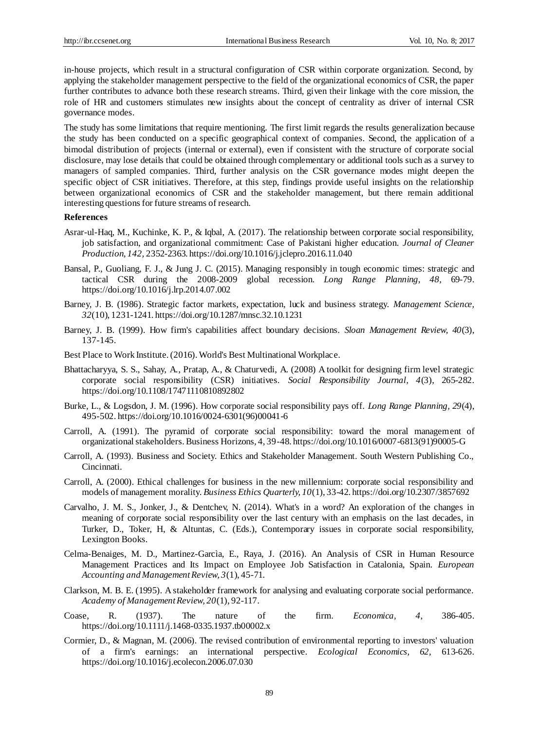in-house projects, which result in a structural configuration of CSR within corporate organization. Second, by applying the stakeholder management perspective to the field of the organizational economics of CSR, the paper further contributes to advance both these research streams. Third, given their linkage with the core mission, the role of HR and customers stimulates new insights about the concept of centrality as driver of internal CSR governance modes.

The study has some limitations that require mentioning. The first limit regards the results generalization because the study has been conducted on a specific geographical context of companies. Second, the application of a bimodal distribution of projects (internal or external), even if consistent with the structure of corporate social disclosure, may lose details that could be obtained through complementary or additional tools such as a survey to managers of sampled companies. Third, further analysis on the CSR governance modes might deepen the specific object of CSR initiatives. Therefore, at this step, findings provide useful insights on the relationship between organizational economics of CSR and the stakeholder management, but there remain additional interesting questions for future streams of research.

#### **References**

- Asrar-ul-Haq, M., Kuchinke, K. P., & Iqbal, A. (2017). The relationship between corporate social responsibility, job satisfaction, and organizational commitment: Case of Pakistani higher education. *Journal of Cleaner Production, 142,* 2352-2363. https://doi.org/10.1016/j.jclepro.2016.11.040
- Bansal, P., Guoliang, F. J., & Jung J. C. (2015). Managing responsibly in tough economic times: strategic and tactical CSR during the 2008-2009 global recession. *Long Range Planning, 48,* 69-79. https://doi.org/10.1016/j.lrp.2014.07.002
- Barney, J. B. (1986). Strategic factor markets, expectation, luck and business strategy. *Management Science, 32*(10), 1231-1241. https://doi.org/10.1287/mnsc.32.10.1231
- Barney, J. B. (1999). How firm's capabilities affect boundary decisions. *Sloan Management Review, 40*(3), 137-145.
- Best Place to Work Institute. (2016). World's Best Multinational Workplace.
- Bhattacharyya, S. S., Sahay, A., Pratap, A., & Chaturvedi, A. (2008) A toolkit for designing firm level strategic corporate social responsibility (CSR) initiatives. *Social Responsibility Journal, 4*(3), 265-282. https://doi.org/10.1108/17471110810892802
- Burke, L., & Logsdon, J. M. (1996). How corporate social responsibility pays off. *Long Range Planning, 29*(4), 495-502. https://doi.org/10.1016/0024-6301(96)00041-6
- Carroll, A. (1991). The pyramid of corporate social responsibility: toward the moral management of organizational stakeholders. Business Horizons, 4, 39-48. https://doi.org/10.1016/0007-6813(91)90005-G
- Carroll, A. (1993). Business and Society. Ethics and Stakeholder Management. South Western Publishing Co., Cincinnati.
- Carroll, A. (2000). Ethical challenges for business in the new millennium: corporate social responsibility and models of management morality. *Business Ethics Quarterly, 10*(1), 33-42. https://doi.org/10.2307/3857692
- Carvalho, J. M. S., Jonker, J., & Dentchev, N. (2014). What's in a word? An exploration of the changes in meaning of corporate social responsibility over the last century with an emphasis on the last decades, in Turker, D., Toker, H, & Altuntas, C. (Eds.), Contemporary issues in corporate social responsibility, Lexington Books.
- Celma-Benaiges, M. D., Martinez-Garcìa, E., Raya, J. (2016). An Analysis of CSR in Human Resource Management Practices and Its Impact on Employee Job Satisfaction in Catalonia, Spain. *European Accounting and Management Review, 3*(1), 45-71.
- Clarkson, M. B. E. (1995). A stakeholder framework for analysing and evaluating corporate social performance. *Academy of Management Review, 20*(1), 92-117.
- Coase, R. (1937). The nature of the firm. *Economica, 4,* 386-405. https://doi.org/10.1111/j.1468-0335.1937.tb00002.x
- Cormier, D., & Magnan, M. (2006). The revised contribution of environmental reporting to investors' valuation of a firm's earnings: an international perspective. *Ecological Economics, 62,* 613-626. https://doi.org/10.1016/j.ecolecon.2006.07.030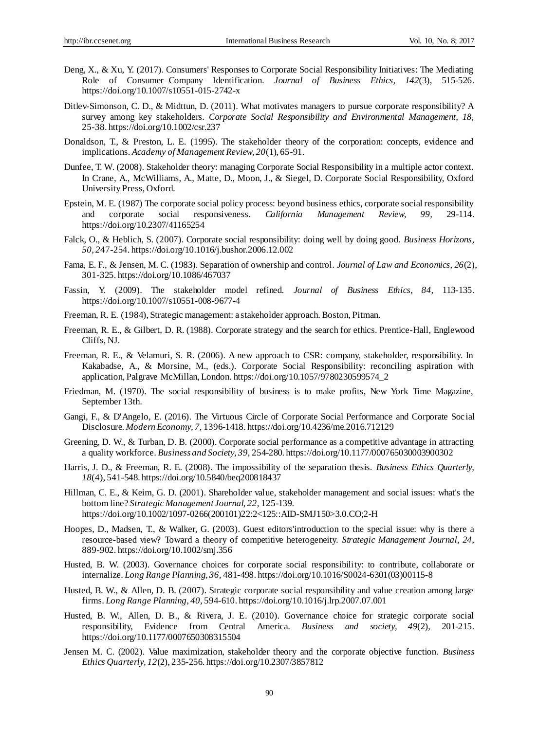- Deng, X., & Xu, Y. (2017). Consumers' Responses to Corporate Social Responsibility Initiatives: The Mediating Role of Consumer–Company Identification. *Journal of Business Ethics, 142*(3), 515-526. https://doi.org/10.1007/s10551-015-2742-x
- Ditlev-Simonson, C. D., & Midttun, D. (2011). What motivates managers to pursue corporate responsibility? A survey among key stakeholders. *Corporate Social Responsibility and Environmental Management, 18,*  25-38. https://doi.org/10.1002/csr.237
- Donaldson, T., & Preston, L. E. (1995). The stakeholder theory of the corporation: concepts, evidence and implications. *Academy of Management Review, 20*(1), 65-91.
- Dunfee, T. W. (2008). Stakeholder theory: managing Corporate Social Responsibility in a multiple actor context. In Crane, A., McWilliams, A., Matte, D., Moon, J., & Siegel, D. Corporate Social Responsibility, Oxford University Press, Oxford.
- Epstein, M. E. (1987) The corporate social policy process: beyond business ethics, corporate social responsibility and corporate social responsiveness. *California Management Review, 99,* 29-114. https://doi.org/10.2307/41165254
- Falck, O., & Heblich, S. (2007). Corporate social responsibility: doing well by doing good. *Business Horizons, 50, 2*47-254. https://doi.org/10.1016/j.bushor.2006.12.002
- Fama, E. F., & Jensen, M. C. (1983). Separation of ownership and control. *Journal of Law and Economics, 26*(2), 301-325. https://doi.org/10.1086/467037
- Fassin, Y. (2009). The stakeholder model refined. *Journal of Business Ethics, 84,* 113-135. https://doi.org/10.1007/s10551-008-9677-4
- Freeman, R. E. (1984), Strategic management: a stakeholder approach. Boston, Pitman.
- Freeman, R. E., & Gilbert, D. R. (1988). Corporate strategy and the search for ethics. Prentice-Hall, Englewood Cliffs, NJ.
- Freeman, R. E., & Velamuri, S. R. (2006). A new approach to CSR: company, stakeholder, responsibility. In Kakabadse, A., & Morsine, M., (eds.). Corporate Social Responsibility: reconciling aspiration with application, Palgrave McMillan, London. https://doi.org/10.1057/9780230599574\_2
- Friedman, M. (1970). The social responsibility of business is to make profits, New York Time Magazine, September 13th.
- Gangi, F., & D'Angelo, E. (2016). The Virtuous Circle of Corporate Social Performance and Corporate Soc ial Disclosure. *Modern Economy, 7,* 1396-1418. https://doi.org/10.4236/me.2016.712129
- Greening, D. W., & Turban, D. B. (2000). Corporate social performance as a competitive advantage in attracting a quality workforce. *Business and Society, 39,* 254-280. https://doi.org/10.1177/000765030003900302
- Harris, J. D., & Freeman, R. E. (2008). The impossibility of the separation thesis. *Business Ethics Quarterly, 18*(4), 541-548. https://doi.org/10.5840/beq200818437
- Hillman, C. E., & Keim, G. D. (2001). Shareholder value, stakeholder management and social issues: what's the bottom line? *Strategic Management Journal, 22,* 125-139. https://doi.org/10.1002/1097-0266(200101)22:2<125::AID-SMJ150>3.0.CO;2-H
- Hoopes, D., Madsen, T., & Walker, G. (2003). Guest editors'introduction to the special issue: why is there a resource-based view? Toward a theory of competitive heterogeneity. *Strategic Management Journal, 24,*  889-902. https://doi.org/10.1002/smj.356
- Husted, B. W. (2003). Governance choices for corporate social responsibility: to contribute, collaborate or internalize. *Long Range Planning, 36,* 481-498. https://doi.org/10.1016/S0024-6301(03)00115-8
- Husted, B. W., & Allen, D. B. (2007). Strategic corporate social responsibility and value creation among large firms. *Long Range Planning, 40,* 594-610. https://doi.org/10.1016/j.lrp.2007.07.001
- Husted, B. W., Allen, D. B., & Rivera, J. E. (2010). Governance choice for strategic corporate social responsibility, Evidence from Central America. *Business and society, 49*(2), 201-215. https://doi.org/10.1177/0007650308315504
- Jensen M. C. (2002). Value maximization, stakeholder theory and the corporate objective function. *Business Ethics Quarterly, 12*(2), 235-256. https://doi.org/10.2307/3857812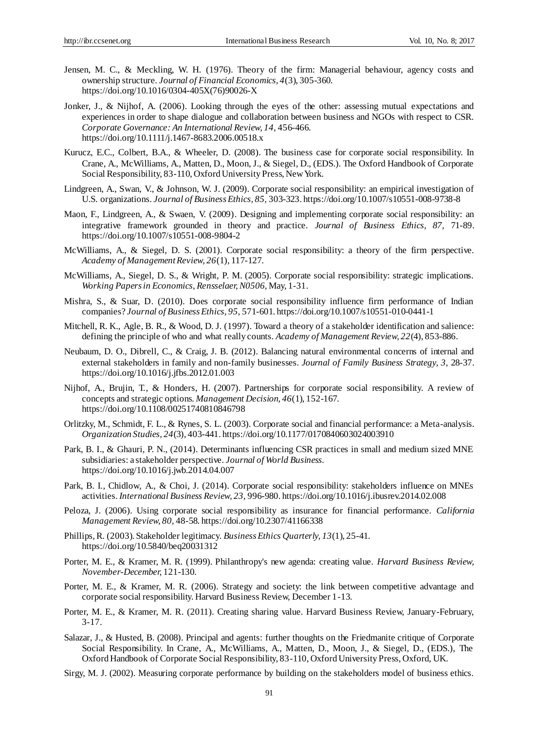- Jensen, M. C., & Meckling, W. H. (1976). Theory of the firm: Managerial behaviour, agency costs and ownership structure. *Journal of Financial Economics, 4*(3), 305-360. https://doi.org/10.1016/0304-405X(76)90026-X
- Jonker, J., & Nijhof, A. (2006). Looking through the eyes of the other: assessing mutual expectations and experiences in order to shape dialogue and collaboration between business and NGOs with respect to CSR. *Corporate Governance: An International Review, 14,* 456-466. https://doi.org/10.1111/j.1467-8683.2006.00518.x
- Kurucz, E.C., Colbert, B.A., & Wheeler, D. (2008). The business case for corporate social responsibility. In Crane, A., McWilliams, A., Matten, D., Moon, J., & Siegel, D., (EDS.). The Oxford Handbook of Corporate Social Responsibility, 83-110, Oxford University Press, New York.
- Lindgreen, A., Swan, V., & Johnson, W. J. (2009). Corporate social responsibility: an empirical investigation of U.S. organizations. *Journal of Business Ethics, 85,* 303-323. https://doi.org/10.1007/s10551-008-9738-8
- Maon, F., Lindgreen, A., & Swaen, V. (2009). Designing and implementing corporate social responsibility: an integrative framework grounded in theory and practice. *Journal of Business Ethics, 87,* 71-89. https://doi.org/10.1007/s10551-008-9804-2
- McWilliams, A., & Siegel, D. S. (2001). Corporate social responsibility: a theory of the firm perspective. *Academy of Management Review, 26*(1), 117-127.
- McWilliams, A., Siegel, D. S., & Wright, P. M. (2005). Corporate social responsibility: strategic implications. *Working Papers in Economics, Rensselaer, N0506,* May, 1-31.
- Mishra, S., & Suar, D. (2010). Does corporate social responsibility influence firm performance of Indian companies? *Journal of Business Ethics, 95,* 571-601. https://doi.org/10.1007/s10551-010-0441-1
- Mitchell, R. K., Agle, B. R., & Wood, D. J. (1997). Toward a theory of a stakeholder identification and salience: defining the principle of who and what really counts. *Academy of Management Review, 22*(4), 853-886.
- Neubaum, D. O., Dibrell, C., & Craig, J. B. (2012). Balancing natural environmental concerns of internal and external stakeholders in family and non-family businesses. *Journal of Family Business Strategy, 3,* 28-37. https://doi.org/10.1016/j.jfbs.2012.01.003
- Nijhof, A., Brujin, T., & Honders, H. (2007). Partnerships for corporate social responsibility. A review of concepts and strategic options. *Management Decision, 46*(1), 152-167. https://doi.org/10.1108/00251740810846798
- Orlitzky, M., Schmidt, F. L., & Rynes, S. L. (2003). Corporate social and financial performance: a Meta-analysis. *Organization Studies, 24*(3), 403-441. https://doi.org/10.1177/0170840603024003910
- Park, B. I., & Ghauri, P. N., (2014). Determinants influencing CSR practices in small and medium sized MNE subsidiaries: a stakeholder perspective. *Journal of World Business.* https://doi.org/10.1016/j.jwb.2014.04.007
- Park, B. I., Chidlow, A., & Choi, J. (2014). Corporate social responsibility: stakeholders influence on MNEs activities. *International Business Review, 23,* 996-980. https://doi.org/10.1016/j.ibusrev.2014.02.008
- Peloza, J. (2006). Using corporate social responsibility as insurance for financial performance. *California Management Review, 80,* 48-58. https://doi.org/10.2307/41166338
- Phillips, R. (2003). Stakeholder legitimacy. *Business Ethics Quarterly, 13*(1), 25-41. https://doi.org/10.5840/beq20031312
- Porter, M. E., & Kramer, M. R. (1999). Philanthropy's new agenda: creating value. *Harvard Business Review, November-December,* 121-130.
- Porter, M. E., & Kramer, M. R. (2006). Strategy and society: the link between competitive advantage and corporate social responsibility. Harvard Business Review, December 1-13.
- Porter, M. E., & Kramer, M. R. (2011). Creating sharing value. Harvard Business Review, January-February, 3-17.
- Salazar, J., & Husted, B. (2008). Principal and agents: further thoughts on the Friedmanite critique of Corporate Social Responsibility. In Crane, A., McWilliams, A., Matten, D., Moon, J., & Siegel, D., (EDS.), The Oxford Handbook of Corporate Social Responsibility, 83-110, Oxford University Press, Oxford, UK.
- Sirgy, M. J. (2002). Measuring corporate performance by building on the stakeholders model of business ethics.